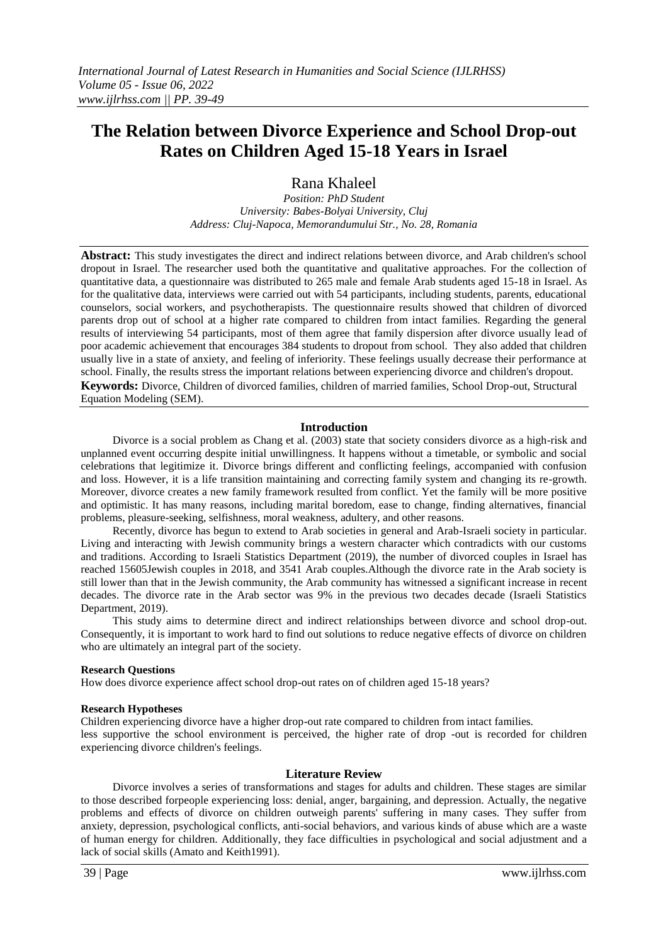# **The Relation between Divorce Experience and School Drop-out Rates on Children Aged 15-18 Years in Israel**

Rana Khaleel

*Position: PhD Student University: Babes-Bolyai University, Cluj Address: Cluj-Napoca, Memorandumului Str., No. 28, Romania*

**Abstract:** This study investigates the direct and indirect relations between divorce, and Arab children's school dropout in Israel. The researcher used both the quantitative and qualitative approaches. For the collection of quantitative data, a questionnaire was distributed to 265 male and female Arab students aged 15-18 in Israel. As for the qualitative data, interviews were carried out with 54 participants, including students, parents, educational counselors, social workers, and psychotherapists. The questionnaire results showed that children of divorced parents drop out of school at a higher rate compared to children from intact families. Regarding the general results of interviewing 54 participants, most of them agree that family dispersion after divorce usually lead of poor academic achievement that encourages 384 students to dropout from school. They also added that children usually live in a state of anxiety, and feeling of inferiority. These feelings usually decrease their performance at school. Finally, the results stress the important relations between experiencing divorce and children's dropout. **Keywords:** Divorce, Children of divorced families, children of married families, School Drop-out, Structural Equation Modeling (SEM).

## **Introduction**

Divorce is a social problem as Chang et al. (2003) state that society considers divorce as a high-risk and unplanned event occurring despite initial unwillingness. It happens without a timetable, or symbolic and social celebrations that legitimize it. Divorce brings different and conflicting feelings, accompanied with confusion and loss. However, it is a life transition maintaining and correcting family system and changing its re-growth. Moreover, divorce creates a new family framework resulted from conflict. Yet the family will be more positive and optimistic. It has many reasons, including marital boredom, ease to change, finding alternatives, financial problems, pleasure-seeking, selfishness, moral weakness, adultery, and other reasons.

Recently, divorce has begun to extend to Arab societies in general and Arab-Israeli society in particular. Living and interacting with Jewish community brings a western character which contradicts with our customs and traditions. According to Israeli Statistics Department (2019), the number of divorced couples in Israel has reached 15605Jewish couples in 2018, and 3541 Arab couples.Although the divorce rate in the Arab society is still lower than that in the Jewish community, the Arab community has witnessed a significant increase in recent decades. The divorce rate in the Arab sector was 9% in the previous two decades decade (Israeli Statistics Department, 2019).

This study aims to determine direct and indirect relationships between divorce and school drop-out. Consequently, it is important to work hard to find out solutions to reduce negative effects of divorce on children who are ultimately an integral part of the society.

### **Research Questions**

How does divorce experience affect school drop-out rates on of children aged 15-18 years?

### **Research Hypotheses**

Children experiencing divorce have a higher drop-out rate compared to children from intact families. less supportive the school environment is perceived, the higher rate of drop -out is recorded for children experiencing divorce children's feelings.

### **Literature Review**

Divorce involves a series of transformations and stages for adults and children. These stages are similar to those described forpeople experiencing loss: denial, anger, bargaining, and depression. Actually, the negative problems and effects of divorce on children outweigh parents' suffering in many cases. They suffer from anxiety, depression, psychological conflicts, anti-social behaviors, and various kinds of abuse which are a waste of human energy for children. Additionally, they face difficulties in psychological and social adjustment and a lack of social skills (Amato and Keith1991).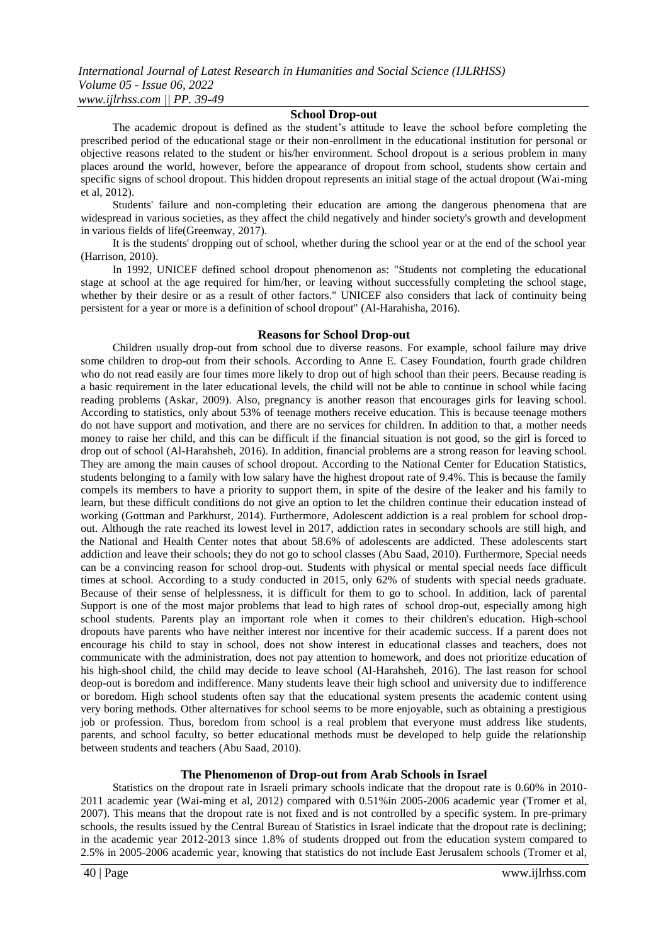### **School Drop-out**

The academic dropout is defined as the student's attitude to leave the school before completing the prescribed period of the educational stage or their non-enrollment in the educational institution for personal or objective reasons related to the student or his/her environment. School dropout is a serious problem in many places around the world, however, before the appearance of dropout from school, students show certain and specific signs of school dropout. This hidden dropout represents an initial stage of the actual dropout (Wai-ming et al, 2012).

Students' failure and non-completing their education are among the dangerous phenomena that are widespread in various societies, as they affect the child negatively and hinder society's growth and development in various fields of life(Greenway, 2017).

It is the students' dropping out of school, whether during the school year or at the end of the school year (Harrison, 2010).

In 1992, UNICEF defined school dropout phenomenon as: "Students not completing the educational stage at school at the age required for him/her, or leaving without successfully completing the school stage, whether by their desire or as a result of other factors." UNICEF also considers that lack of continuity being persistent for a year or more is a definition of school dropout" (Al-Harahisha, 2016).

#### **Reasons for School Drop-out**

Children usually drop-out from school due to diverse reasons. For example, school failure may drive some children to drop-out from their schools. According to Anne E. Casey Foundation, fourth grade children who do not read easily are four times more likely to drop out of high school than their peers. Because reading is a basic requirement in the later educational levels, the child will not be able to continue in school while facing reading problems (Askar, 2009). Also, pregnancy is another reason that encourages girls for leaving school. According to statistics, only about 53% of teenage mothers receive education. This is because teenage mothers do not have support and motivation, and there are no services for children. In addition to that, a mother needs money to raise her child, and this can be difficult if the financial situation is not good, so the girl is forced to drop out of school (Al-Harahsheh, 2016). In addition, financial problems are a strong reason for leaving school. They are among the main causes of school dropout. According to the National Center for Education Statistics, students belonging to a family with low salary have the highest dropout rate of 9.4%. This is because the family compels its members to have a priority to support them, in spite of the desire of the leaker and his family to learn, but these difficult conditions do not give an option to let the children continue their education instead of working (Gottman and Parkhurst, 2014). Furthermore, Adolescent addiction is a real problem for school dropout. Although the rate reached its lowest level in 2017, addiction rates in secondary schools are still high, and the National and Health Center notes that about 58.6% of adolescents are addicted. These adolescents start addiction and leave their schools; they do not go to school classes (Abu Saad, 2010). Furthermore, Special needs can be a convincing reason for school drop-out. Students with physical or mental special needs face difficult times at school. According to a study conducted in 2015, only 62% of students with special needs graduate. Because of their sense of helplessness, it is difficult for them to go to school. In addition, lack of parental Support is one of the most major problems that lead to high rates of school drop-out, especially among high school students. Parents play an important role when it comes to their children's education. High-school dropouts have parents who have neither interest nor incentive for their academic success. If a parent does not encourage his child to stay in school, does not show interest in educational classes and teachers, does not communicate with the administration, does not pay attention to homework, and does not prioritize education of his high-shool child, the child may decide to leave school (Al-Harahsheh, 2016). The last reason for school deop-out is boredom and indifference. Many students leave their high school and university due to indifference or boredom. High school students often say that the educational system presents the academic content using very boring methods. Other alternatives for school seems to be more enjoyable, such as obtaining a prestigious job or profession. Thus, boredom from school is a real problem that everyone must address like students, parents, and school faculty, so better educational methods must be developed to help guide the relationship between students and teachers (Abu Saad, 2010).

### **The Phenomenon of Drop-out from Arab Schools in Israel**

Statistics on the dropout rate in Israeli primary schools indicate that the dropout rate is 0.60% in 2010- 2011 academic year (Wai-ming et al, 2012) compared with 0.51%in 2005-2006 academic year (Tromer et al, 2007). This means that the dropout rate is not fixed and is not controlled by a specific system. In pre-primary schools, the results issued by the Central Bureau of Statistics in Israel indicate that the dropout rate is declining; in the academic year 2012-2013 since 1.8% of students dropped out from the education system compared to 2.5% in 2005-2006 academic year, knowing that statistics do not include East Jerusalem schools (Tromer et al,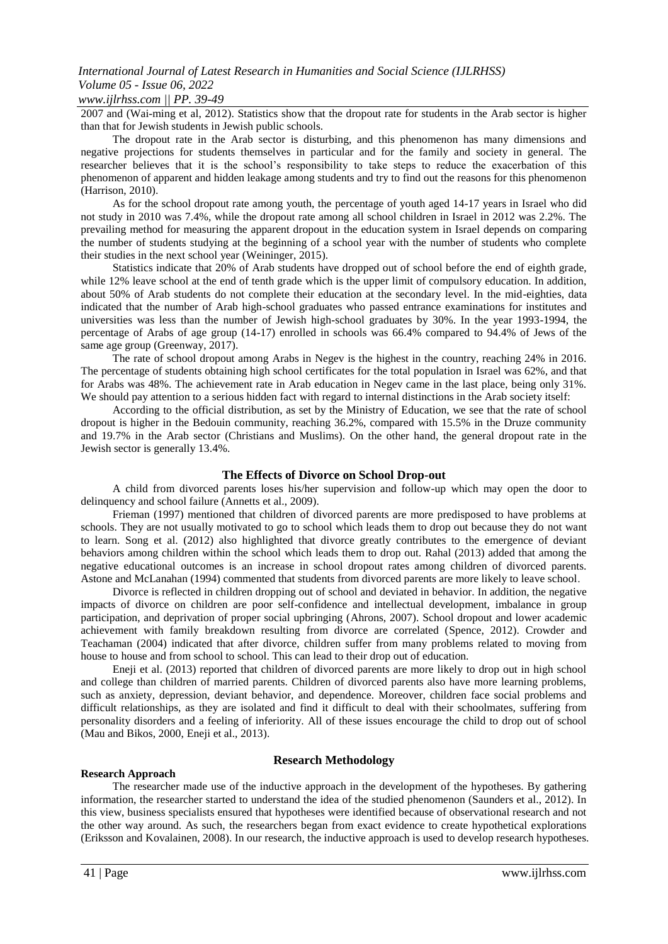## *www.ijlrhss.com || PP. 39-49*

2007 and (Wai-ming et al, 2012). Statistics show that the dropout rate for students in the Arab sector is higher than that for Jewish students in Jewish public schools.

The dropout rate in the Arab sector is disturbing, and this phenomenon has many dimensions and negative projections for students themselves in particular and for the family and society in general. The researcher believes that it is the school's responsibility to take steps to reduce the exacerbation of this phenomenon of apparent and hidden leakage among students and try to find out the reasons for this phenomenon (Harrison, 2010).

As for the school dropout rate among youth, the percentage of youth aged 14-17 years in Israel who did not study in 2010 was 7.4%, while the dropout rate among all school children in Israel in 2012 was 2.2%. The prevailing method for measuring the apparent dropout in the education system in Israel depends on comparing the number of students studying at the beginning of a school year with the number of students who complete their studies in the next school year (Weininger, 2015).

Statistics indicate that 20% of Arab students have dropped out of school before the end of eighth grade, while 12% leave school at the end of tenth grade which is the upper limit of compulsory education. In addition, about 50% of Arab students do not complete their education at the secondary level. In the mid-eighties, data indicated that the number of Arab high-school graduates who passed entrance examinations for institutes and universities was less than the number of Jewish high-school graduates by 30%. In the year 1993-1994, the percentage of Arabs of age group (14-17) enrolled in schools was 66.4% compared to 94.4% of Jews of the same age group (Greenway, 2017).

The rate of school dropout among Arabs in Negev is the highest in the country, reaching 24% in 2016. The percentage of students obtaining high school certificates for the total population in Israel was 62%, and that for Arabs was 48%. The achievement rate in Arab education in Negev came in the last place, being only 31%. We should pay attention to a serious hidden fact with regard to internal distinctions in the Arab society itself:

According to the official distribution, as set by the Ministry of Education, we see that the rate of school dropout is higher in the Bedouin community, reaching 36.2%, compared with 15.5% in the Druze community and 19.7% in the Arab sector (Christians and Muslims). On the other hand, the general dropout rate in the Jewish sector is generally 13.4%.

### **The Effects of Divorce on School Drop-out**

A child from divorced parents loses his/her supervision and follow-up which may open the door to delinquency and school failure (Annetts et al., 2009).

Frieman (1997) mentioned that children of divorced parents are more predisposed to have problems at schools. They are not usually motivated to go to school which leads them to drop out because they do not want to learn. Song et al. (2012) also highlighted that divorce greatly contributes to the emergence of deviant behaviors among children within the school which leads them to drop out. Rahal (2013) added that among the negative educational outcomes is an increase in school dropout rates among children of divorced parents. Astone and McLanahan (1994) commented that students from divorced parents are more likely to leave school.

Divorce is reflected in children dropping out of school and deviated in behavior. In addition, the negative impacts of divorce on children are poor self-confidence and intellectual development, imbalance in group participation, and deprivation of proper social upbringing (Ahrons, 2007). School dropout and lower academic achievement with family breakdown resulting from divorce are correlated (Spence, 2012). Crowder and Teachaman (2004) indicated that after divorce, children suffer from many problems related to moving from house to house and from school to school. This can lead to their drop out of education.

Eneji et al. (2013) reported that children of divorced parents are more likely to drop out in high school and college than children of married parents. Children of divorced parents also have more learning problems, such as anxiety, depression, deviant behavior, and dependence. Moreover, children face social problems and difficult relationships, as they are isolated and find it difficult to deal with their schoolmates, suffering from personality disorders and a feeling of inferiority. All of these issues encourage the child to drop out of school (Mau and Bikos, 2000, Eneji et al., 2013).

### **Research Approach**

## **Research Methodology**

The researcher made use of the inductive approach in the development of the hypotheses. By gathering information, the researcher started to understand the idea of the studied phenomenon (Saunders et al., 2012). In this view, business specialists ensured that hypotheses were identified because of observational research and not the other way around. As such, the researchers began from exact evidence to create hypothetical explorations (Eriksson and Kovalainen, 2008). In our research, the inductive approach is used to develop research hypotheses.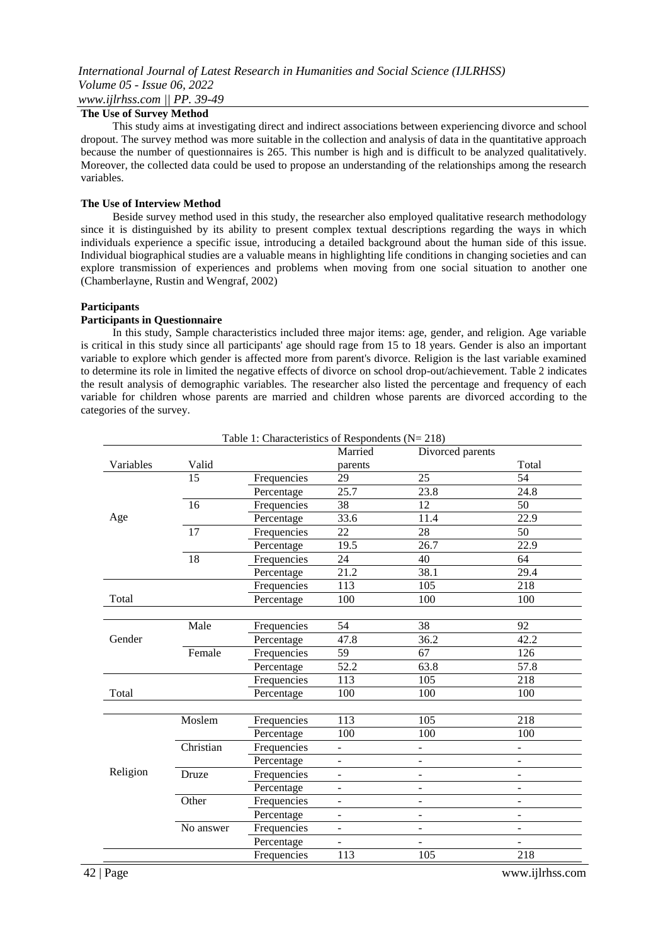## **The Use of Survey Method**

This study aims at investigating direct and indirect associations between experiencing divorce and school dropout. The survey method was more suitable in the collection and analysis of data in the quantitative approach because the number of questionnaires is 265. This number is high and is difficult to be analyzed qualitatively. Moreover, the collected data could be used to propose an understanding of the relationships among the research variables.

#### **The Use of Interview Method**

Beside survey method used in this study, the researcher also employed qualitative research methodology since it is distinguished by its ability to present complex textual descriptions regarding the ways in which individuals experience a specific issue, introducing a detailed background about the human side of this issue. Individual biographical studies are a valuable means in highlighting life conditions in changing societies and can explore transmission of experiences and problems when moving from one social situation to another one (Chamberlayne, Rustin and Wengraf, 2002)

#### **Participants**

#### **Participants in Questionnaire**

In this study, Sample characteristics included three major items: age, gender, and religion. Age variable is critical in this study since all participants' age should rage from 15 to 18 years. Gender is also an important variable to explore which gender is affected more from parent's divorce. Religion is the last variable examined to determine its role in limited the negative effects of divorce on school drop-out/achievement. Table 2 indicates the result analysis of demographic variables. The researcher also listed the percentage and frequency of each variable for children whose parents are married and children whose parents are divorced according to the categories of the survey.

|           | Table 1: Characteristics of Respondents ( $N = 218$ ) |             |                          |                              |                          |  |  |
|-----------|-------------------------------------------------------|-------------|--------------------------|------------------------------|--------------------------|--|--|
|           |                                                       |             | Married                  | Divorced parents             |                          |  |  |
| Variables | Valid                                                 |             | parents                  |                              | Total                    |  |  |
|           | 15                                                    | Frequencies | 29                       | 25                           | 54                       |  |  |
|           |                                                       | Percentage  | 25.7                     | 23.8                         | 24.8                     |  |  |
|           | 16                                                    | Frequencies | 38                       | 12                           | 50                       |  |  |
| Age       |                                                       | Percentage  | 33.6                     | 11.4                         | 22.9                     |  |  |
|           | 17                                                    | Frequencies | 22                       | 28                           | 50                       |  |  |
|           |                                                       | Percentage  | 19.5                     | 26.7                         | 22.9                     |  |  |
|           | 18                                                    | Frequencies | 24                       | 40                           | 64                       |  |  |
|           |                                                       | Percentage  | 21.2                     | 38.1                         | 29.4                     |  |  |
|           |                                                       | Frequencies | 113                      | 105                          | 218                      |  |  |
| Total     |                                                       | Percentage  | 100                      | 100                          | 100                      |  |  |
|           |                                                       |             |                          |                              |                          |  |  |
|           | Male                                                  | Frequencies | 54                       | 38                           | 92                       |  |  |
| Gender    |                                                       | Percentage  | 47.8                     | 36.2                         | 42.2                     |  |  |
|           | Female                                                | Frequencies | 59                       | 67                           | 126                      |  |  |
|           |                                                       | Percentage  | 52.2                     | 63.8                         | 57.8                     |  |  |
|           |                                                       | Frequencies | 113                      | 105                          | 218                      |  |  |
| Total     |                                                       | Percentage  | 100                      | 100                          | 100                      |  |  |
|           |                                                       |             |                          |                              |                          |  |  |
|           | Moslem                                                | Frequencies | 113                      | 105                          | 218                      |  |  |
|           |                                                       | Percentage  | 100                      | 100                          | 100                      |  |  |
|           | Christian                                             | Frequencies | $\overline{a}$           |                              |                          |  |  |
|           |                                                       | Percentage  |                          | $\qquad \qquad \blacksquare$ |                          |  |  |
| Religion  | Druze                                                 | Frequencies | $\overline{\phantom{0}}$ | $\overline{\phantom{a}}$     |                          |  |  |
|           |                                                       | Percentage  | $\frac{1}{2}$            | $\blacksquare$               | $\overline{\phantom{0}}$ |  |  |
|           | Other                                                 | Frequencies | $\overline{\phantom{0}}$ | $\blacksquare$               | $\overline{\phantom{0}}$ |  |  |
|           |                                                       | Percentage  | $\overline{\phantom{0}}$ | $\overline{a}$               | ÷.                       |  |  |
|           | No answer                                             | Frequencies | $\overline{\phantom{0}}$ | $\blacksquare$               |                          |  |  |
|           |                                                       | Percentage  |                          |                              |                          |  |  |
|           |                                                       | Frequencies | 113                      | 105                          | 218                      |  |  |

42 | Page www.ijlrhss.com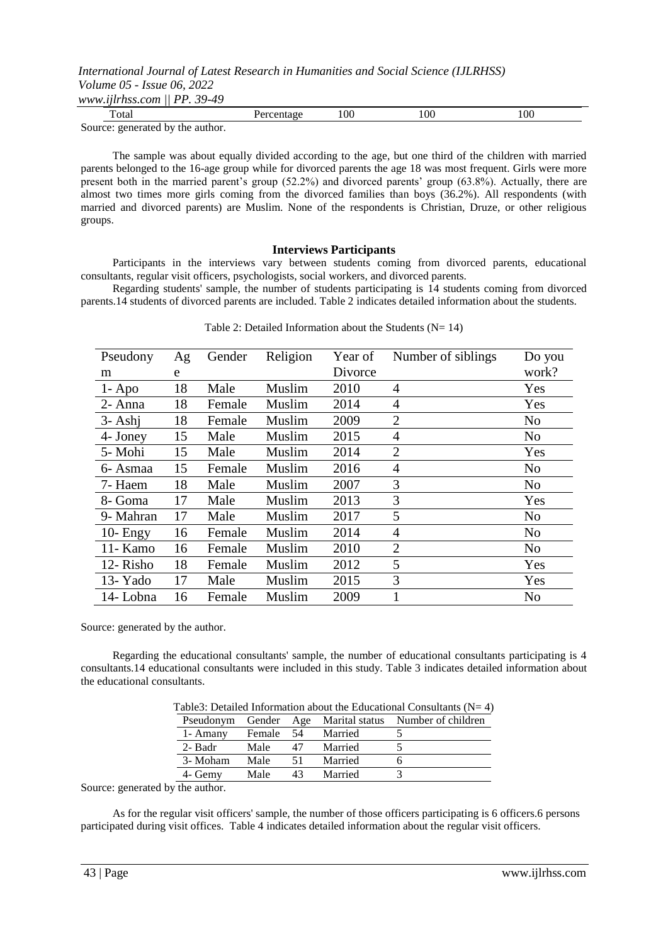*www.ijlrhss.com || PP. 39-49*

| otal                                             | 00 | !00 | 100 |  |
|--------------------------------------------------|----|-----|-----|--|
| $\sim$<br>Source:<br>generated by<br>the author. |    |     |     |  |

The sample was about equally divided according to the age, but one third of the children with married parents belonged to the 16-age group while for divorced parents the age 18 was most frequent. Girls were more present both in the married parent's group (52.2%) and divorced parents' group (63.8%). Actually, there are almost two times more girls coming from the divorced families than boys (36.2%). All respondents (with married and divorced parents) are Muslim. None of the respondents is Christian, Druze, or other religious groups.

#### **Interviews Participants**

Participants in the interviews vary between students coming from divorced parents, educational consultants, regular visit officers, psychologists, social workers, and divorced parents.

Regarding students' sample, the number of students participating is 14 students coming from divorced parents.14 students of divorced parents are included. Table 2 indicates detailed information about the students.

| Pseudony    | Ag | Gender | Religion | Year of | Number of siblings | Do you         |
|-------------|----|--------|----------|---------|--------------------|----------------|
| m           | e  |        |          | Divorce |                    | work?          |
| $1 - Apo$   | 18 | Male   | Muslim   | 2010    | $\overline{4}$     | Yes            |
| 2- Anna     | 18 | Female | Muslim   | 2014    | 4                  | Yes            |
| $3 - Ashi$  | 18 | Female | Muslim   | 2009    | $\overline{2}$     | N <sub>o</sub> |
| 4- Joney    | 15 | Male   | Muslim   | 2015    | $\overline{4}$     | N <sub>o</sub> |
| 5- Mohi     | 15 | Male   | Muslim   | 2014    | $\overline{2}$     | Yes            |
| 6- Asmaa    | 15 | Female | Muslim   | 2016    | $\overline{4}$     | N <sub>0</sub> |
| 7- Haem     | 18 | Male   | Muslim   | 2007    | 3                  | N <sub>o</sub> |
| 8- Goma     | 17 | Male   | Muslim   | 2013    | 3                  | Yes            |
| 9- Mahran   | 17 | Male   | Muslim   | 2017    | 5                  | N <sub>o</sub> |
| $10$ - Engy | 16 | Female | Muslim   | 2014    | $\overline{4}$     | N <sub>0</sub> |
| 11- Kamo    | 16 | Female | Muslim   | 2010    | $\overline{2}$     | N <sub>o</sub> |
| 12-Risho    | 18 | Female | Muslim   | 2012    | 5                  | Yes            |
| 13-Yado     | 17 | Male   | Muslim   | 2015    | 3                  | Yes            |
| 14-Lobna    | 16 | Female | Muslim   | 2009    |                    | N <sub>0</sub> |

Table 2: Detailed Information about the Students ( $N= 14$ )

Source: generated by the author.

Regarding the educational consultants' sample, the number of educational consultants participating is 4 consultants.14 educational consultants were included in this study. Table 3 indicates detailed information about the educational consultants.

|           |            |    |         | Table3: Detailed Information about the Educational Consultants ( $N=4$ ) |
|-----------|------------|----|---------|--------------------------------------------------------------------------|
| Pseudonym | Gender Age |    |         | Marital status Number of children                                        |
| 1- Amany  | Female     | 54 | Married |                                                                          |
| 2- Badr   | Male       | 47 | Married |                                                                          |
| 3- Moham  | Male       | 51 | Married |                                                                          |
| 4- Gemy   | Male       | 43 | Married |                                                                          |

Source: generated by the author.

As for the regular visit officers' sample, the number of those officers participating is 6 officers.6 persons participated during visit offices. Table 4 indicates detailed information about the regular visit officers.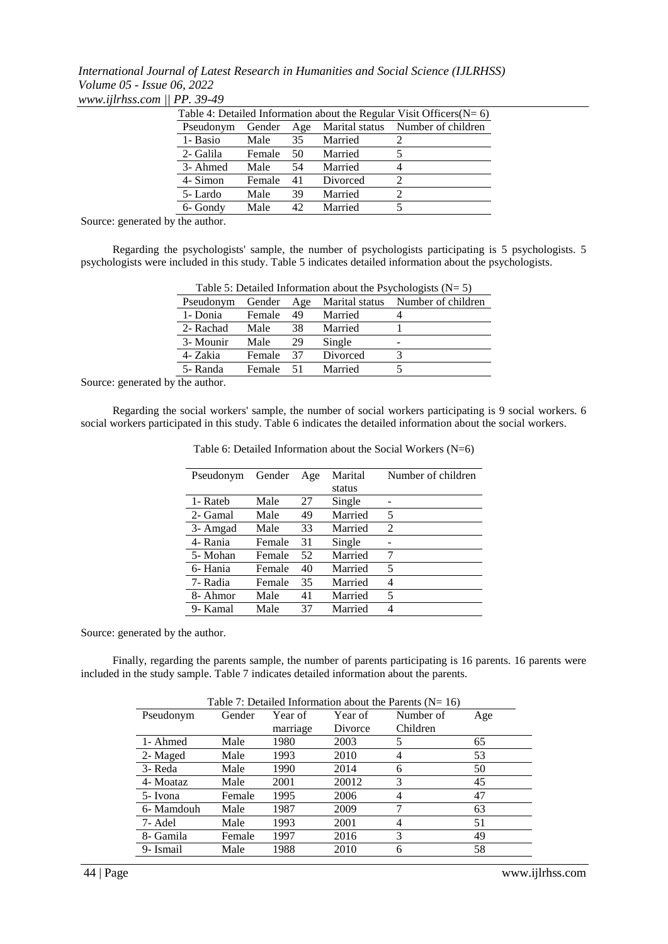*International Journal of Latest Research in Humanities and Social Science (IJLRHSS) Volume 05 - Issue 06, 2022 www.ijlrhss.com || PP. 39-49*

| Table 4: Detailed Information about the Regular Visit Officers( $N=6$ ) |        |     |          |                                   |  |  |
|-------------------------------------------------------------------------|--------|-----|----------|-----------------------------------|--|--|
| Pseudonym                                                               | Gender | Age |          | Marital status Number of children |  |  |
| 1- Basio                                                                | Male   | 35  | Married  |                                   |  |  |
| 2- Galila                                                               | Female | 50  | Married  |                                   |  |  |
| 3- Ahmed                                                                | Male   | 54  | Married  | 4                                 |  |  |
| 4- Simon                                                                | Female | 41  | Divorced | $\mathcal{D}_{\mathcal{A}}$       |  |  |
| 5-Lardo                                                                 | Male   | 39  | Married  | $\mathcal{D}$                     |  |  |
| 6- Gondy                                                                | Male   | 42  | Married  |                                   |  |  |
|                                                                         |        |     |          |                                   |  |  |

Source: generated by the author.

Regarding the psychologists' sample, the number of psychologists participating is 5 psychologists. 5 psychologists were included in this study. Table 5 indicates detailed information about the psychologists.

| Table 5: Detailed Information about the Psychologists ( $N = 5$ ) |        |     |          |                                   |  |
|-------------------------------------------------------------------|--------|-----|----------|-----------------------------------|--|
| Pseudonym                                                         | Gender | Age |          | Marital status Number of children |  |
| 1- Donia                                                          | Female | 49  | Married  |                                   |  |
| 2- Rachad                                                         | Male   | 38  | Married  |                                   |  |
| 3- Mounir                                                         | Male   | 29  | Single   | -                                 |  |
| 4- Zakia                                                          | Female | 37  | Divorced |                                   |  |
| 5- Randa                                                          | Female | -51 | Married  |                                   |  |

Source: generated by the author.

Regarding the social workers' sample, the number of social workers participating is 9 social workers. 6 social workers participated in this study. Table 6 indicates the detailed information about the social workers.

| Pseudonym | Gender | Age | Marital | Number of children |
|-----------|--------|-----|---------|--------------------|
|           |        |     | status  |                    |
| 1- Rateb  | Male   | 27  | Single  |                    |
| 2- Gamal  | Male   | 49  | Married | 5                  |
| 3- Amgad  | Male   | 33  | Married | $\mathfrak{D}$     |
| 4- Rania  | Female | 31  | Single  |                    |
| 5- Mohan  | Female | 52  | Married | 7                  |
| 6- Hania  | Female | 40  | Married | 5                  |
| 7- Radia  | Female | 35  | Married | 4                  |
| 8- Ahmor  | Male   | 41  | Married | 5                  |
| 9- Kamal  | Male   | 37  | Married | 4                  |
|           |        |     |         |                    |

Table 6: Detailed Information about the Social Workers (N=6)

Source: generated by the author.

Finally, regarding the parents sample, the number of parents participating is 16 parents. 16 parents were included in the study sample. Table 7 indicates detailed information about the parents.

| Table $\ell$ : Detailed Information about the Parents (N= 16) |        |          |         |           |     |  |
|---------------------------------------------------------------|--------|----------|---------|-----------|-----|--|
| Pseudonym                                                     | Gender | Year of  | Year of | Number of | Age |  |
|                                                               |        | marriage | Divorce | Children  |     |  |
| 1- Ahmed                                                      | Male   | 1980     | 2003    | 5         | 65  |  |
| 2- Maged                                                      | Male   | 1993     | 2010    |           | 53  |  |
| 3- Reda                                                       | Male   | 1990     | 2014    | 6         | 50  |  |
| 4- Moataz                                                     | Male   | 2001     | 20012   | 3         | 45  |  |
| 5- Ivona                                                      | Female | 1995     | 2006    |           | 47  |  |
| 6- Mamdouh                                                    | Male   | 1987     | 2009    | 7         | 63  |  |
| 7- Adel                                                       | Male   | 1993     | 2001    |           | 51  |  |
| 8- Gamila                                                     | Female | 1997     | 2016    | 3         | 49  |  |
| 9- Ismail                                                     | Male   | 1988     | 2010    | 6         | 58  |  |

| Table 7: Detailed Information about the Parents ( $N = 16$ ) |  |  |  |
|--------------------------------------------------------------|--|--|--|
|--------------------------------------------------------------|--|--|--|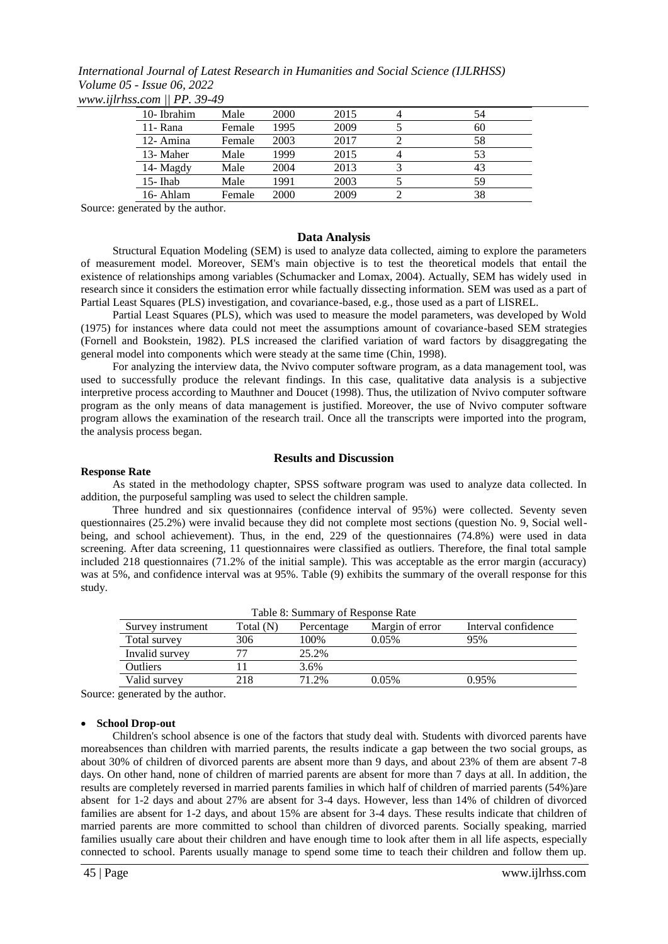*International Journal of Latest Research in Humanities and Social Science (IJLRHSS) Volume 05 - Issue 06, 2022 www.ijlrhss.com || PP. 39-49*

| 10-Ibrahim  | Male   | 2000 | 2015 | 54 |
|-------------|--------|------|------|----|
| 11- Rana    | Female | 1995 | 2009 | 60 |
| 12-Amina    | Female | 2003 | 2017 | 58 |
| 13- Maher   | Male   | 1999 | 2015 | 53 |
| 14- Magdy   | Male   | 2004 | 2013 | 43 |
| $15$ - Ihab | Male   | 1991 | 2003 | 59 |
| 16-Ahlam    | Female | 2000 | 2009 | 38 |

Source: generated by the author.

#### **Data Analysis**

Structural Equation Modeling (SEM) is used to analyze data collected, aiming to explore the parameters of measurement model. Moreover, SEM's main objective is to test the theoretical models that entail the existence of relationships among variables (Schumacker and Lomax, 2004). Actually, SEM has widely used in research since it considers the estimation error while factually dissecting information. SEM was used as a part of Partial Least Squares (PLS) investigation, and covariance-based, e.g., those used as a part of LISREL.

Partial Least Squares (PLS), which was used to measure the model parameters, was developed by Wold (1975) for instances where data could not meet the assumptions amount of covariance-based SEM strategies (Fornell and Bookstein, 1982). PLS increased the clarified variation of ward factors by disaggregating the general model into components which were steady at the same time (Chin, 1998).

For analyzing the interview data, the Nvivo computer software program, as a data management tool, was used to successfully produce the relevant findings. In this case, qualitative data analysis is a subjective interpretive process according to Mauthner and Doucet (1998). Thus, the utilization of Nvivo computer software program as the only means of data management is justified. Moreover, the use of Nvivo computer software program allows the examination of the research trail. Once all the transcripts were imported into the program, the analysis process began.

#### **Results and Discussion**

#### **Response Rate**

As stated in the methodology chapter, SPSS software program was used to analyze data collected. In addition, the purposeful sampling was used to select the children sample.

Three hundred and six questionnaires (confidence interval of 95%) were collected. Seventy seven questionnaires (25.2%) were invalid because they did not complete most sections (question No. 9, Social wellbeing, and school achievement). Thus, in the end, 229 of the questionnaires (74.8%) were used in data screening. After data screening, 11 questionnaires were classified as outliers. Therefore, the final total sample included 218 questionnaires (71.2% of the initial sample). This was acceptable as the error margin (accuracy) was at 5%, and confidence interval was at 95%. Table (9) exhibits the summary of the overall response for this study.

| Table 8: Summary of Response Rate |           |            |                 |                     |  |  |  |
|-----------------------------------|-----------|------------|-----------------|---------------------|--|--|--|
| Survey instrument                 | Total (N) | Percentage | Margin of error | Interval confidence |  |  |  |
| Total survey                      | 306       | 100%       | 0.05%           | 95%                 |  |  |  |
| Invalid survey                    | 77        | 25.2%      |                 |                     |  |  |  |
| <b>Outliers</b>                   |           | 3.6%       |                 |                     |  |  |  |
| Valid survey                      | 218       | 71 2%      | 0.05%           | $0.95\%$            |  |  |  |

Source: generated by the author.

#### **School Drop-out**

Children's school absence is one of the factors that study deal with. Students with divorced parents have moreabsences than children with married parents, the results indicate a gap between the two social groups, as about 30% of children of divorced parents are absent more than 9 days, and about 23% of them are absent 7-8 days. On other hand, none of children of married parents are absent for more than 7 days at all. In addition, the results are completely reversed in married parents families in which half of children of married parents (54%) are absent for 1-2 days and about 27% are absent for 3-4 days. However, less than 14% of children of divorced families are absent for 1-2 days, and about 15% are absent for 3-4 days. These results indicate that children of married parents are more committed to school than children of divorced parents. Socially speaking, married families usually care about their children and have enough time to look after them in all life aspects, especially connected to school. Parents usually manage to spend some time to teach their children and follow them up.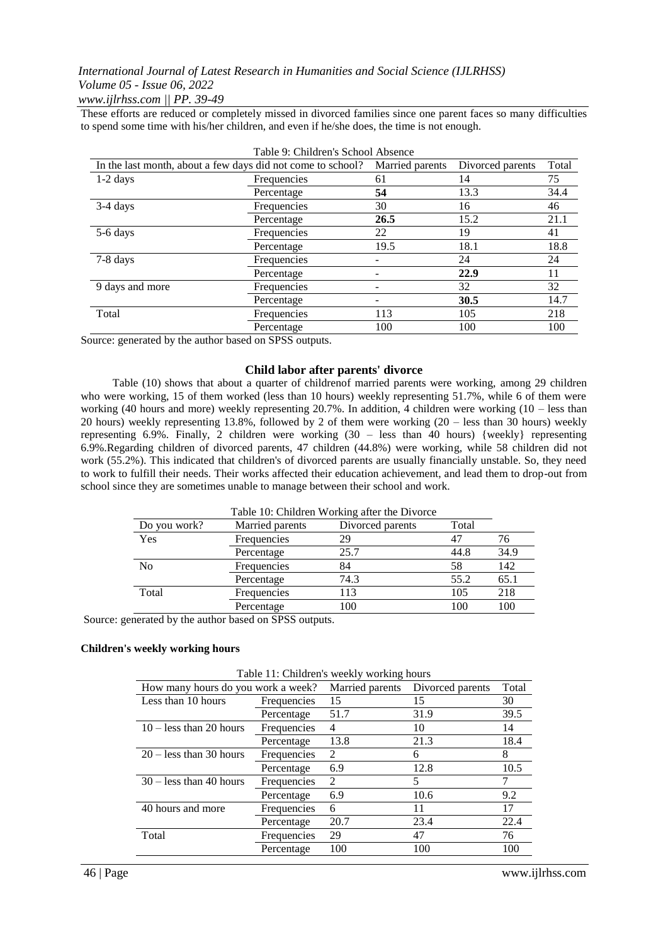*www.ijlrhss.com || PP. 39-49*

These efforts are reduced or completely missed in divorced families since one parent faces so many difficulties to spend some time with his/her children, and even if he/she does, the time is not enough.

| Table 9. Children's School Absence                          |             |                 |                  |       |  |  |
|-------------------------------------------------------------|-------------|-----------------|------------------|-------|--|--|
| In the last month, about a few days did not come to school? |             | Married parents | Divorced parents | Total |  |  |
| $1-2$ days                                                  | Frequencies | 61              | 14               | 75    |  |  |
|                                                             | Percentage  | 54              | 13.3             | 34.4  |  |  |
| $3-4$ days                                                  | Frequencies | 30              | 16               | 46    |  |  |
|                                                             | Percentage  | 26.5            | 15.2             | 21.1  |  |  |
| 5-6 days                                                    | Frequencies | 22              | 19               | 41    |  |  |
|                                                             | Percentage  | 19.5            | 18.1             | 18.8  |  |  |
| 7-8 days                                                    | Frequencies |                 | 24               | 24    |  |  |
|                                                             | Percentage  |                 | 22.9             | 11    |  |  |
| 9 days and more                                             | Frequencies |                 | 32               | 32    |  |  |
|                                                             | Percentage  |                 | 30.5             | 14.7  |  |  |
| Total                                                       | Frequencies | 113             | 105              | 218   |  |  |
|                                                             | Percentage  | 100             | 100              | 100   |  |  |

Table 9: Children's School Absence

Source: generated by the author based on SPSS outputs.

## **Child labor after parents' divorce**

Table (10) shows that about a quarter of childrenof married parents were working, among 29 children who were working, 15 of them worked (less than 10 hours) weekly representing 51.7%, while 6 of them were working (40 hours and more) weekly representing 20.7%. In addition, 4 children were working (10 – less than 20 hours) weekly representing 13.8%, followed by 2 of them were working (20 – less than 30 hours) weekly representing 6.9%. Finally, 2 children were working (30 – less than 40 hours) {weekly} representing 6.9%.Regarding children of divorced parents, 47 children (44.8%) were working, while 58 children did not work (55.2%). This indicated that children's of divorced parents are usually financially unstable. So, they need to work to fulfill their needs. Their works affected their education achievement, and lead them to drop-out from school since they are sometimes unable to manage between their school and work.

| Table 10: Children Working after the Divorce |                 |                  |       |      |  |
|----------------------------------------------|-----------------|------------------|-------|------|--|
| Do you work?                                 | Married parents | Divorced parents | Total |      |  |
| Yes                                          | Frequencies     | 29               | 47    | 76   |  |
|                                              | Percentage      | 25.7             | 44.8  | 34.9 |  |
| N <sub>0</sub>                               | Frequencies     | 84               | 58    | 142  |  |
|                                              | Percentage      | 74.3             | 55.2  | 65.1 |  |
| Total                                        | Frequencies     | 113              | 105   | 218  |  |
|                                              | Percentage      | 100              | 100   | 100  |  |

Source: generated by the author based on SPSS outputs.

#### **Children's weekly working hours**

| Table II: Children's weekly working hours |             |                 |                  |       |  |  |  |
|-------------------------------------------|-------------|-----------------|------------------|-------|--|--|--|
| How many hours do you work a week?        |             | Married parents | Divorced parents | Total |  |  |  |
| Less than 10 hours                        | Frequencies | 15              | 15               | 30    |  |  |  |
|                                           | Percentage  | 51.7            | 31.9             | 39.5  |  |  |  |
| $10 -$ less than 20 hours                 | Frequencies | 4               | 10               | 14    |  |  |  |
|                                           | Percentage  | 13.8            | 21.3             | 18.4  |  |  |  |
| $20 -$ less than 30 hours                 | Frequencies | $\mathcal{L}$   | 6                | 8     |  |  |  |
|                                           | Percentage  | 6.9             | 12.8             | 10.5  |  |  |  |
| $30 -$ less than 40 hours                 | Frequencies | 2               | 5                |       |  |  |  |
|                                           | Percentage  | 6.9             | 10.6             | 9.2   |  |  |  |
| 40 hours and more                         | Frequencies | 6               | 11               | 17    |  |  |  |
|                                           | Percentage  | 20.7            | 23.4             | 22.4  |  |  |  |
| Total                                     | Frequencies | 29              | 47               | 76    |  |  |  |
|                                           | Percentage  | 100             | 100              | 100   |  |  |  |

 $Table 11: Childian's model by modeling  $h$$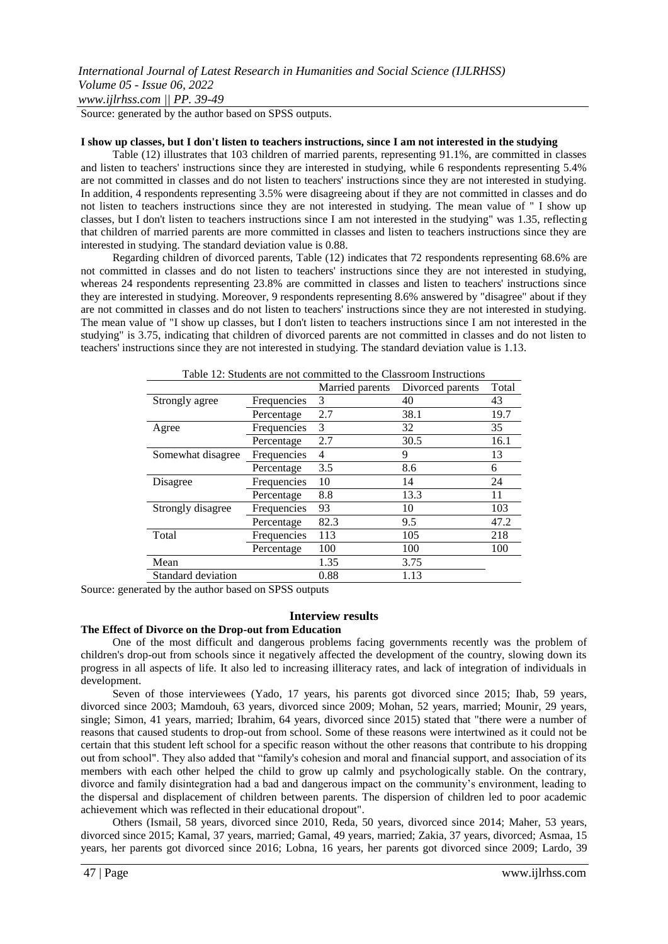Source: generated by the author based on SPSS outputs.

#### **I show up classes, but I don't listen to teachers instructions, since I am not interested in the studying**

Table (12) illustrates that 103 children of married parents, representing 91.1%, are committed in classes and listen to teachers' instructions since they are interested in studying, while 6 respondents representing 5.4% are not committed in classes and do not listen to teachers' instructions since they are not interested in studying. In addition, 4 respondents representing 3.5% were disagreeing about if they are not committed in classes and do not listen to teachers instructions since they are not interested in studying. The mean value of " I show up classes, but I don't listen to teachers instructions since I am not interested in the studying" was 1.35, reflecting that children of married parents are more committed in classes and listen to teachers instructions since they are interested in studying. The standard deviation value is 0.88.

Regarding children of divorced parents, Table (12) indicates that 72 respondents representing 68.6% are not committed in classes and do not listen to teachers' instructions since they are not interested in studying, whereas 24 respondents representing 23.8% are committed in classes and listen to teachers' instructions since they are interested in studying. Moreover, 9 respondents representing 8.6% answered by "disagree" about if they are not committed in classes and do not listen to teachers' instructions since they are not interested in studying. The mean value of "I show up classes, but I don't listen to teachers instructions since I am not interested in the studying" is 3.75, indicating that children of divorced parents are not committed in classes and do not listen to teachers' instructions since they are not interested in studying. The standard deviation value is 1.13.

| Table 12: Students are not committed to the Classroom instructions |             |                 |                  |       |  |
|--------------------------------------------------------------------|-------------|-----------------|------------------|-------|--|
|                                                                    |             | Married parents | Divorced parents | Total |  |
| Strongly agree                                                     | Frequencies | 3               | 40               | 43    |  |
|                                                                    | Percentage  | 2.7             | 38.1             | 19.7  |  |
| Agree                                                              | Frequencies | 3               | 32               | 35    |  |
|                                                                    | Percentage  | 2.7             | 30.5             | 16.1  |  |
| Somewhat disagree                                                  | Frequencies | 4               | 9                | 13    |  |
|                                                                    | Percentage  | 3.5             | 8.6              | 6     |  |
| Disagree                                                           | Frequencies | 10              | 14               | 24    |  |
|                                                                    | Percentage  | 8.8             | 13.3             | 11    |  |
| Strongly disagree                                                  | Frequencies | 93              | 10               | 103   |  |
|                                                                    | Percentage  | 82.3            | 9.5              | 47.2  |  |
| Total                                                              | Frequencies | 113             | 105              | 218   |  |
|                                                                    | Percentage  | 100             | 100              | 100   |  |
| Mean                                                               |             | 1.35            | 3.75             |       |  |
| Standard deviation                                                 |             | 0.88            | 1.13             |       |  |

 $Table 12:$  Students are not committed to the  $\frac{1}{2}$ 

Source: generated by the author based on SPSS outputs

#### **Interview results**

#### **The Effect of Divorce on the Drop-out from Education**

One of the most difficult and dangerous problems facing governments recently was the problem of children's drop-out from schools since it negatively affected the development of the country, slowing down its progress in all aspects of life. It also led to increasing illiteracy rates, and lack of integration of individuals in development.

Seven of those interviewees (Yado, 17 years, his parents got divorced since 2015; Ihab, 59 years, divorced since 2003; Mamdouh, 63 years, divorced since 2009; Mohan, 52 years, married; Mounir, 29 years, single; Simon, 41 years, married; Ibrahim, 64 years, divorced since 2015) stated that "there were a number of reasons that caused students to drop-out from school. Some of these reasons were intertwined as it could not be certain that this student left school for a specific reason without the other reasons that contribute to his dropping out from school". They also added that "family's cohesion and moral and financial support, and association of its members with each other helped the child to grow up calmly and psychologically stable. On the contrary, divorce and family disintegration had a bad and dangerous impact on the community's environment, leading to the dispersal and displacement of children between parents. The dispersion of children led to poor academic achievement which was reflected in their educational dropout".

Others (Ismail, 58 years, divorced since 2010, Reda, 50 years, divorced since 2014; Maher, 53 years, divorced since 2015; Kamal, 37 years, married; Gamal, 49 years, married; Zakia, 37 years, divorced; Asmaa, 15 years, her parents got divorced since 2016; Lobna, 16 years, her parents got divorced since 2009; Lardo, 39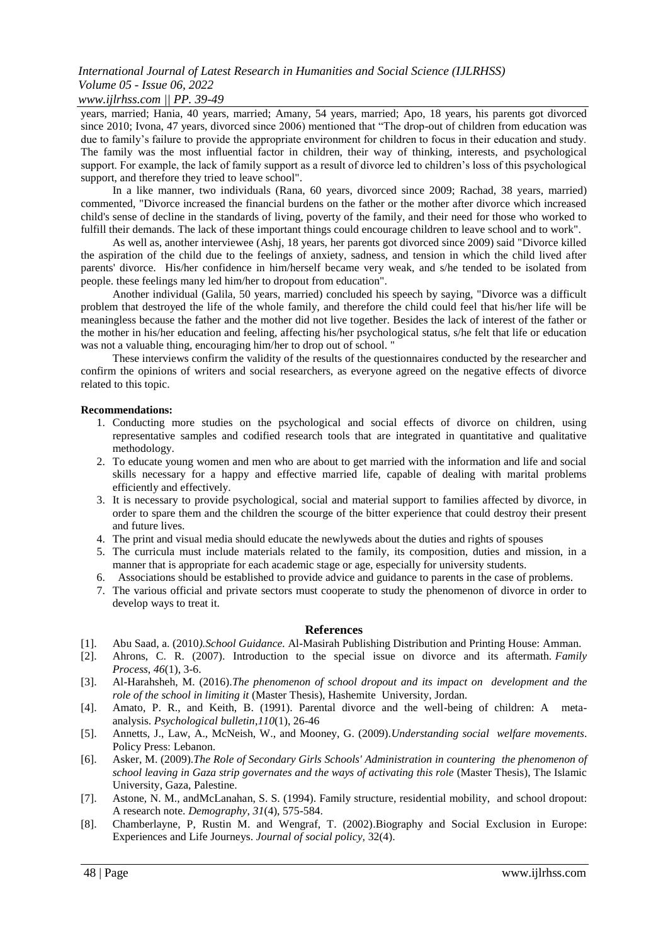## *www.ijlrhss.com || PP. 39-49*

years, married; Hania, 40 years, married; Amany, 54 years, married; Apo, 18 years, his parents got divorced since 2010; Ivona, 47 years, divorced since 2006) mentioned that "The drop-out of children from education was due to family's failure to provide the appropriate environment for children to focus in their education and study. The family was the most influential factor in children, their way of thinking, interests, and psychological support. For example, the lack of family support as a result of divorce led to children's loss of this psychological support, and therefore they tried to leave school".

In a like manner, two individuals (Rana, 60 years, divorced since 2009; Rachad, 38 years, married) commented, "Divorce increased the financial burdens on the father or the mother after divorce which increased child's sense of decline in the standards of living, poverty of the family, and their need for those who worked to fulfill their demands. The lack of these important things could encourage children to leave school and to work".

As well as, another interviewee (Ashj, 18 years, her parents got divorced since 2009) said "Divorce killed the aspiration of the child due to the feelings of anxiety, sadness, and tension in which the child lived after parents' divorce. His/her confidence in him/herself became very weak, and s/he tended to be isolated from people. these feelings many led him/her to dropout from education".

Another individual (Galila, 50 years, married) concluded his speech by saying, "Divorce was a difficult problem that destroyed the life of the whole family, and therefore the child could feel that his/her life will be meaningless because the father and the mother did not live together. Besides the lack of interest of the father or the mother in his/her education and feeling, affecting his/her psychological status, s/he felt that life or education was not a valuable thing, encouraging him/her to drop out of school. "

These interviews confirm the validity of the results of the questionnaires conducted by the researcher and confirm the opinions of writers and social researchers, as everyone agreed on the negative effects of divorce related to this topic.

#### **Recommendations:**

- 1. Conducting more studies on the psychological and social effects of divorce on children, using representative samples and codified research tools that are integrated in quantitative and qualitative methodology.
- 2. To educate young women and men who are about to get married with the information and life and social skills necessary for a happy and effective married life, capable of dealing with marital problems efficiently and effectively.
- 3. It is necessary to provide psychological, social and material support to families affected by divorce, in order to spare them and the children the scourge of the bitter experience that could destroy their present and future lives.
- 4. The print and visual media should educate the newlyweds about the duties and rights of spouses
- 5. The curricula must include materials related to the family, its composition, duties and mission, in a manner that is appropriate for each academic stage or age, especially for university students.
- 6. Associations should be established to provide advice and guidance to parents in the case of problems.
- 7. The various official and private sectors must cooperate to study the phenomenon of divorce in order to develop ways to treat it.

#### **References**

- [1]. Abu Saad, a. (2010*).School Guidance.* Al-Masirah Publishing Distribution and Printing House: Amman.
- [2]. Ahrons, C. R. (2007). Introduction to the special issue on divorce and its aftermath. *Family Process*, *46*(1), 3-6.
- [3]. Al-Harahsheh, M. (2016).*The phenomenon of school dropout and its impact on development and the role of the school in limiting it* (Master Thesis), Hashemite University, Jordan.
- [4]. Amato, P. R., and Keith, B. (1991). Parental divorce and the well-being of children: A metaanalysis. *Psychological bulletin*,*110*(1), 26-46
- [5]. Annetts, J., Law, A., McNeish, W., and Mooney, G. (2009).*Understanding social welfare movements*. Policy Press: Lebanon.
- [6]. Asker, M. (2009).*The Role of Secondary Girls Schools' Administration in countering the phenomenon of school leaving in Gaza strip governates and the ways of activating this role* (Master Thesis), The Islamic University, Gaza, Palestine.
- [7]. Astone, N. M., andMcLanahan, S. S. (1994). Family structure, residential mobility, and school dropout: A research note. *Demography*, *31*(4), 575-584.
- [8]. Chamberlayne, P, Rustin M. and Wengraf, T. (2002).Biography and Social Exclusion in Europe: Experiences and Life Journeys. *Journal of social policy,* 32(4).